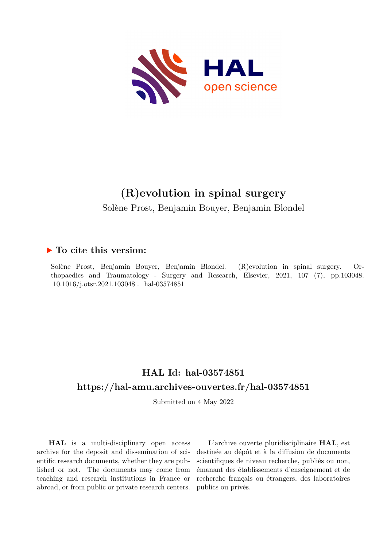

# **(R)evolution in spinal surgery**

Solène Prost, Benjamin Bouyer, Benjamin Blondel

### **To cite this version:**

Solène Prost, Benjamin Bouyer, Benjamin Blondel. (R)evolution in spinal surgery. Orthopaedics and Traumatology - Surgery and Research, Elsevier, 2021, 107 (7), pp.103048.  $10.1016/j.otsr.2021.103048$  .  $\,$  hal-03574851

## **HAL Id: hal-03574851 <https://hal-amu.archives-ouvertes.fr/hal-03574851>**

Submitted on 4 May 2022

**HAL** is a multi-disciplinary open access archive for the deposit and dissemination of scientific research documents, whether they are published or not. The documents may come from teaching and research institutions in France or abroad, or from public or private research centers.

L'archive ouverte pluridisciplinaire **HAL**, est destinée au dépôt et à la diffusion de documents scientifiques de niveau recherche, publiés ou non, émanant des établissements d'enseignement et de recherche français ou étrangers, des laboratoires publics ou privés.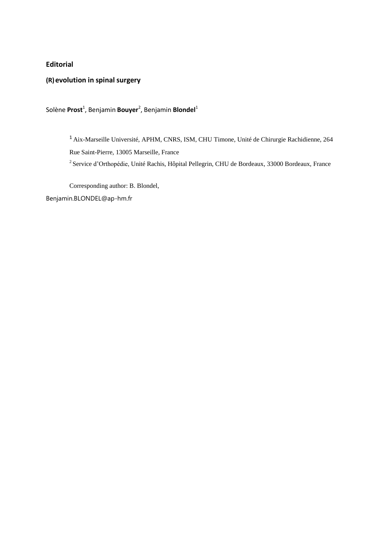### **Editorial**

**(R)evolution in spinal surgery**

Solène **Prost<sup>1</sup>, Benjamin <mark>Bouyer<sup>2</sup>,</mark> Benjamin <b>Blondel**<sup>1</sup>

<sup>1</sup>Aix-Marseille Université, APHM, CNRS, ISM, CHU Timone, Unité de Chirurgie Rachidienne, 264 Rue Saint-Pierre, 13005 Marseille, France

<sup>2</sup> Service d'Orthopédie, Unité Rachis, Hôpital Pellegrin, CHU de Bordeaux, 33000 Bordeaux, France

Corresponding author: B. Blondel,

[Benjamin.BLONDEL@ap-hm.fr](mailto:Benjamin.BLONDEL@ap-hm.fr)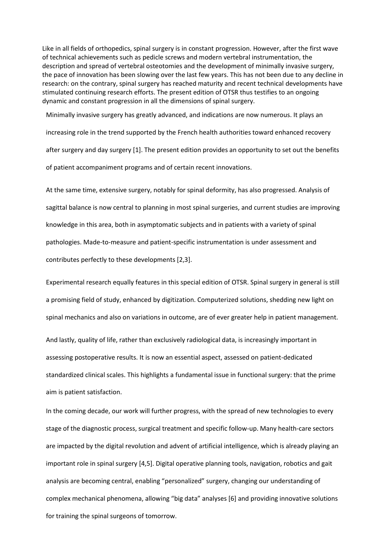Like in all fields of orthopedics, spinal surgery is in constant progression. However, after the first wave of technical achievements such as pedicle screws and modern vertebral instrumentation, the description and spread of vertebral osteotomies and the development of minimally invasive surgery, the pace of innovation has been slowing over the last few years. This has not been due to any decline in research: on the contrary, spinal surgery has reached maturity and recent technical developments have stimulated continuing research efforts. The present edition of OTSR thus testifies to an ongoing dynamic and constant progression in all the dimensions of spinal surgery.

Minimally invasive surgery has greatly advanced, and indications are now numerous. It plays an increasing role in the trend supported by the French health authorities toward enhanced recovery after surgery and day surgery [1]. The present edition provides an opportunity to set out the benefits of patient accompaniment programs and of certain recent innovations.

At the same time, extensive surgery, notably for spinal deformity, has also progressed. Analysis of sagittal balance is now central to planning in most spinal surgeries, and current studies are improving knowledge in this area, both in asymptomatic subjects and in patients with a variety of spinal pathologies. Made-to-measure and patient-specific instrumentation is under assessment and contributes perfectly to these developments [2,3].

Experimental research equally features in this special edition of OTSR. Spinal surgery in general is still a promising field of study, enhanced by digitization. Computerized solutions, shedding new light on spinal mechanics and also on variations in outcome, are of ever greater help in patient management.

And lastly, quality of life, rather than exclusively radiological data, is increasingly important in assessing postoperative results. It is now an essential aspect, assessed on patient-dedicated standardized clinical scales. This highlights a fundamental issue in functional surgery: that the prime aim is patient satisfaction.

In the coming decade, our work will further progress, with the spread of new technologies to every stage of the diagnostic process, surgical treatment and specific follow-up. Many health-care sectors are impacted by the digital revolution and advent of artificial intelligence, which is already playing an important role in spinal surgery [4,5]. Digital operative planning tools, navigation, robotics and gait analysis are becoming central, enabling "personalized" surgery, changing our understanding of complex mechanical phenomena, allowing "big data" analyses [6] and providing innovative solutions for training the spinal surgeons of tomorrow.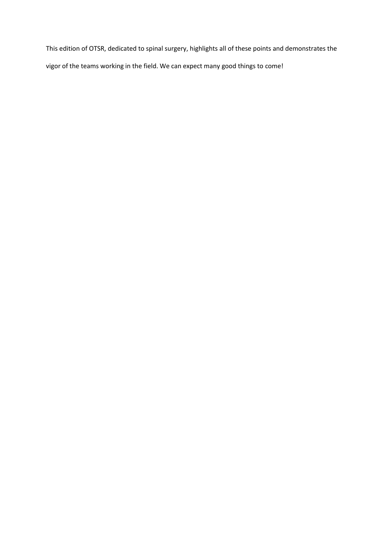This edition of OTSR, dedicated to spinal surgery, highlights all of these points and demonstrates the vigor of the teams working in the field. We can expect many good things to come!